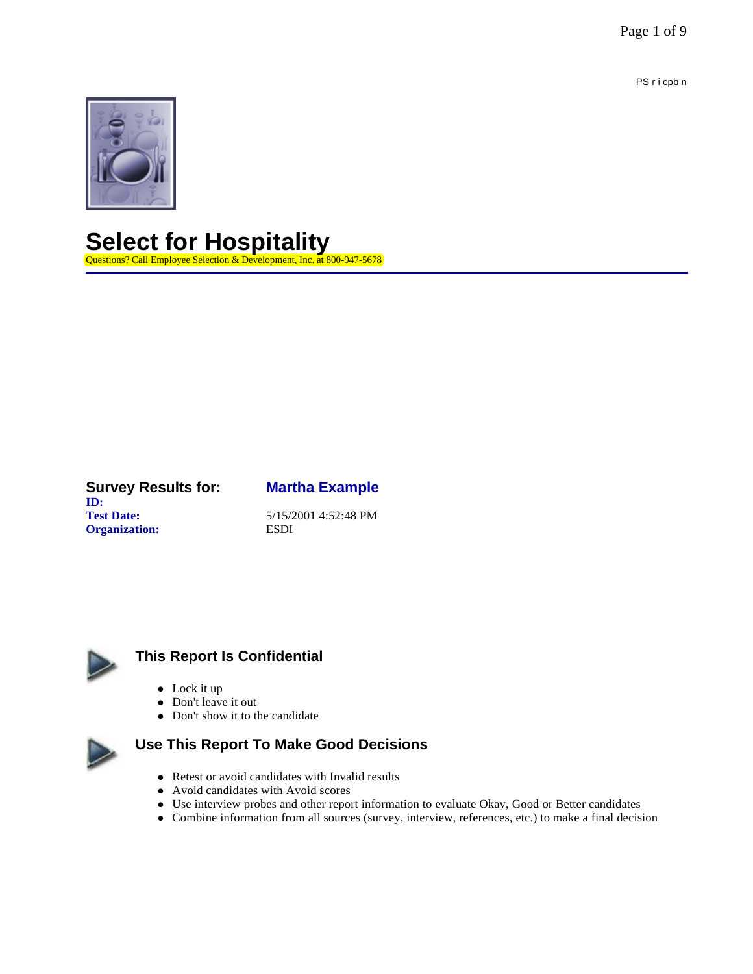Page 1 of 9

PS r i cpb n



# **Select for Hospitality**

Questions? Call Employee Selection & Development, Inc. at 800-947-5678

#### **Survey Results for: Martha Example ID: Test Date:** 5/15/2001 4:52:48 PM **Organization:** ESDI



## **This Report Is Confidential**

- $\bullet$  Lock it up
- Don't leave it out
- Don't show it to the candidate



## **Use This Report To Make Good Decisions**

- $\bullet$  Retest or avoid candidates with Invalid results
- Avoid candidates with Avoid scores
- Use interview probes and other report information to evaluate Okay, Good or Better candidates
- l Combine information from all sources (survey, interview, references, etc.) to make a final decision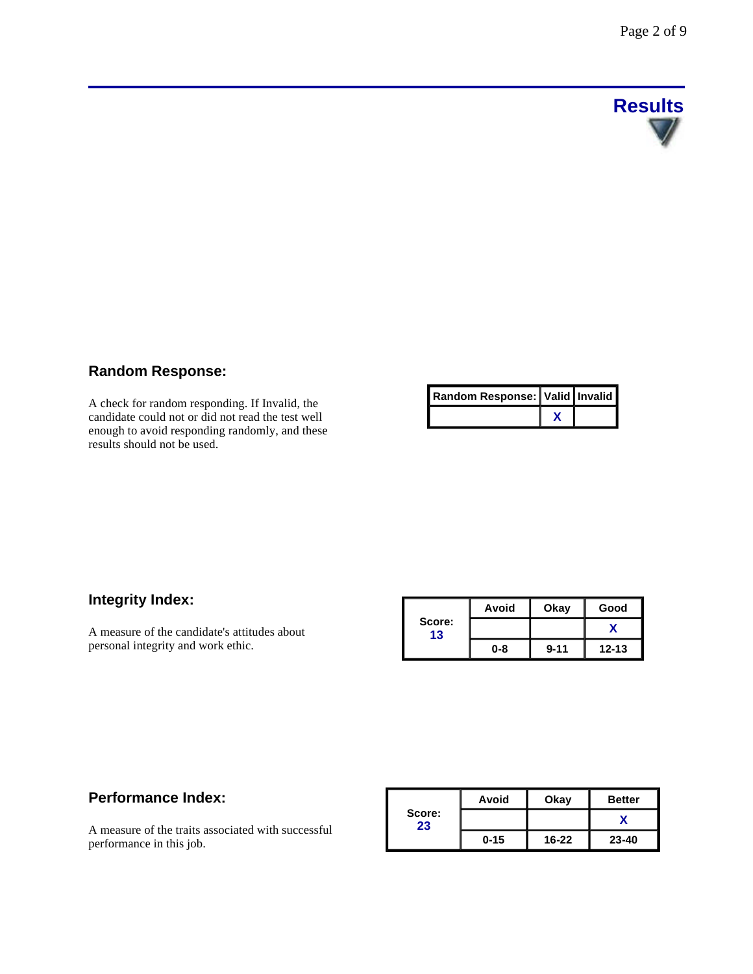

### **Random Response:**

A check for random responding. If Invalid, the candidate could not or did not read the test well enough to avoid responding randomly, and these results should not be used.

| Random Response:   Valid   Invalid |  |
|------------------------------------|--|
|                                    |  |

### **Integrity Index:**

A measure of the candidate's attitudes about personal integrity and work ethic.

|              | Avoid   | Okay     | Good      |
|--------------|---------|----------|-----------|
| Score:<br>13 |         |          |           |
|              | $0 - 8$ | $9 - 11$ | $12 - 13$ |

### **Performance Index:**

A measure of the traits associated with successful performance in this job.

|              | Avoid    | Okay      | <b>Better</b> |
|--------------|----------|-----------|---------------|
| Score:<br>23 |          |           |               |
|              | $0 - 15$ | $16 - 22$ | $23 - 40$     |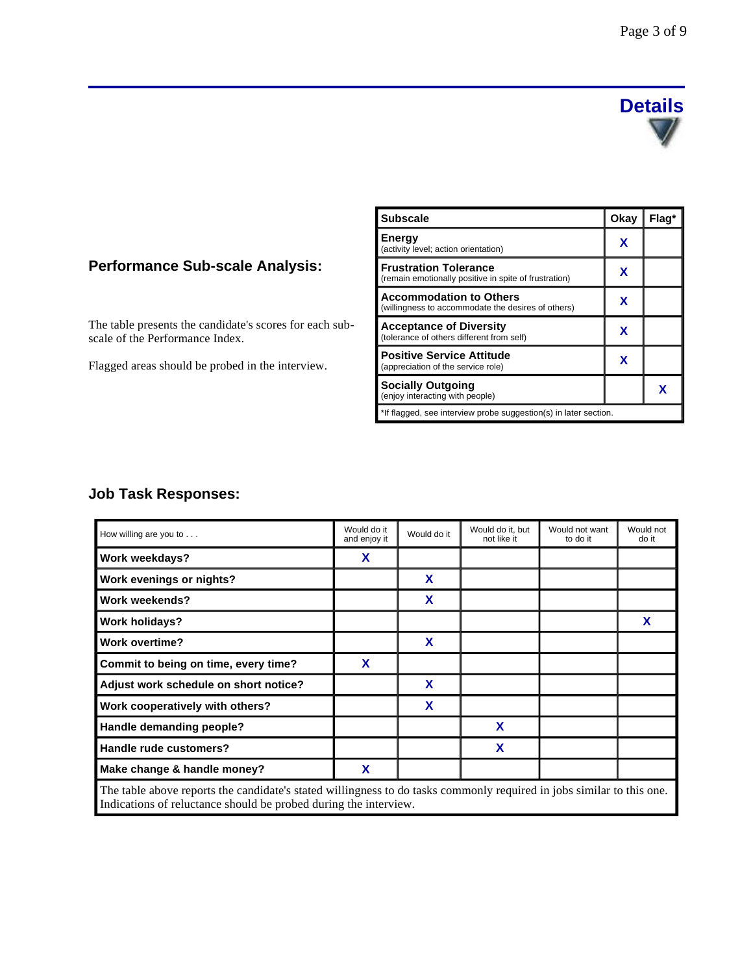

### **Performance Sub-scale Analysis:**

The table presents the candidate's scores for each subscale of the Performance Index.

Flagged areas should be probed in the interview.

| <b>Subscale</b>                                                                       | Okay | Flaq* |  |
|---------------------------------------------------------------------------------------|------|-------|--|
| Energy<br>(activity level; action orientation)                                        | х    |       |  |
| <b>Frustration Tolerance</b><br>(remain emotionally positive in spite of frustration) | x    |       |  |
| <b>Accommodation to Others</b><br>(willingness to accommodate the desires of others)  | x    |       |  |
| <b>Acceptance of Diversity</b><br>(tolerance of others different from self)           | x    |       |  |
| <b>Positive Service Attitude</b><br>(appreciation of the service role)                | x    |       |  |
| <b>Socially Outgoing</b><br>(enjoy interacting with people)                           |      | x     |  |
| *If flagged, see interview probe suggestion(s) in later section.                      |      |       |  |

### **Job Task Responses:**

| How willing are you to $\dots$                                                                                        | Would do it<br>and enjoy it | Would do it | Would do it, but<br>not like it | Would not want<br>to do it | Would not<br>do it |
|-----------------------------------------------------------------------------------------------------------------------|-----------------------------|-------------|---------------------------------|----------------------------|--------------------|
| Work weekdays?                                                                                                        | X                           |             |                                 |                            |                    |
| Work evenings or nights?                                                                                              |                             | X           |                                 |                            |                    |
| Work weekends?                                                                                                        |                             | X           |                                 |                            |                    |
| <b>Work holidays?</b>                                                                                                 |                             |             |                                 |                            | X                  |
| <b>Work overtime?</b>                                                                                                 |                             | X           |                                 |                            |                    |
| Commit to being on time, every time?                                                                                  | X                           |             |                                 |                            |                    |
| Adjust work schedule on short notice?                                                                                 |                             | X           |                                 |                            |                    |
| Work cooperatively with others?                                                                                       |                             | X           |                                 |                            |                    |
| Handle demanding people?                                                                                              |                             |             | X                               |                            |                    |
| Handle rude customers?                                                                                                |                             |             | X                               |                            |                    |
| Make change & handle money?                                                                                           | X                           |             |                                 |                            |                    |
| The table above reports the candidate's stated willingness to do tasks commonly required in jobs similar to this one. |                             |             |                                 |                            |                    |

Indications of reluctance should be probed during the interview.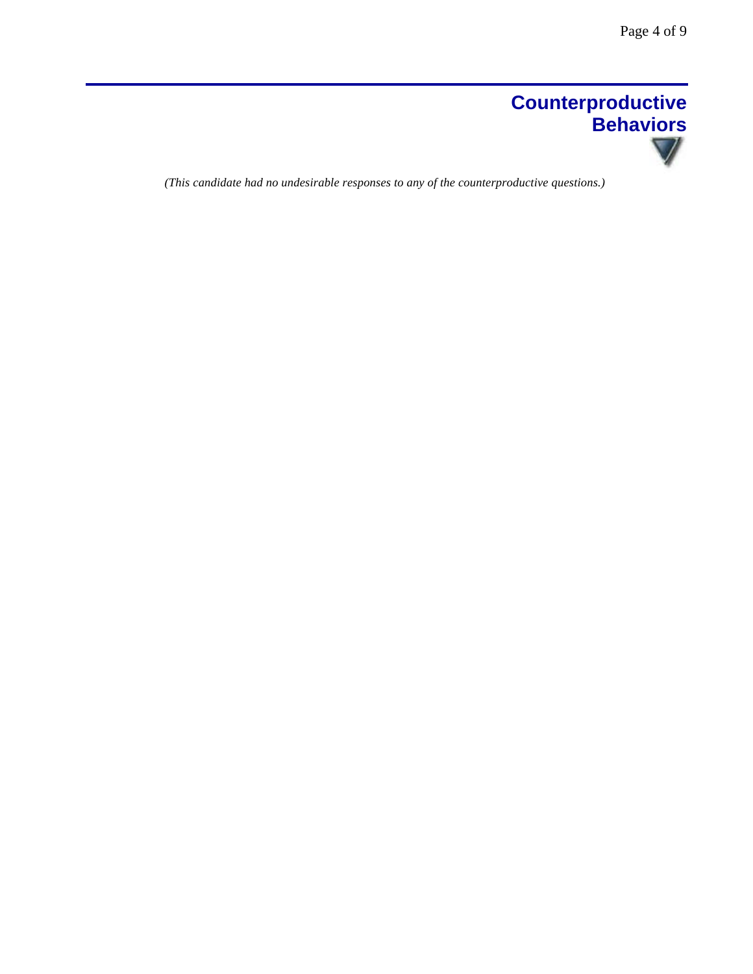

*(This candidate had no undesirable responses to any of the counterproductive questions.)*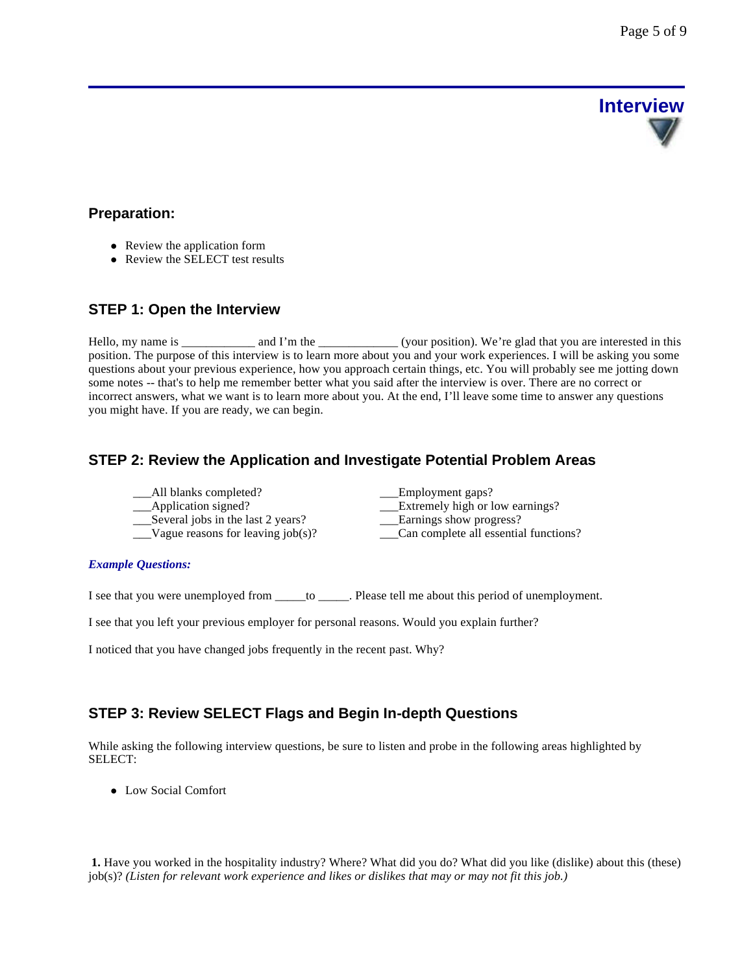# **Interview**

### **Preparation:**

- Review the application form
- Review the SELECT test results

### **STEP 1: Open the Interview**

Hello, my name is \_\_\_\_\_\_\_\_\_\_\_\_ and I'm the \_\_\_\_\_\_\_\_\_\_\_\_\_(your position). We're glad that you are interested in this position. The purpose of this interview is to learn more about you and your work experiences. I will be asking you some questions about your previous experience, how you approach certain things, etc. You will probably see me jotting down some notes -- that's to help me remember better what you said after the interview is over. There are no correct or incorrect answers, what we want is to learn more about you. At the end, I'll leave some time to answer any questions you might have. If you are ready, we can begin.

### **STEP 2: Review the Application and Investigate Potential Problem Areas**

| Employment gaps?                      |
|---------------------------------------|
| Extremely high or low earnings?       |
| Earnings show progress?               |
| Can complete all essential functions? |
|                                       |

### *Example Questions:*

I see that you were unemployed from \_\_\_\_\_to \_\_\_\_\_. Please tell me about this period of unemployment.

I see that you left your previous employer for personal reasons. Would you explain further?

I noticed that you have changed jobs frequently in the recent past. Why?

### **STEP 3: Review SELECT Flags and Begin In-depth Questions**

While asking the following interview questions, be sure to listen and probe in the following areas highlighted by SELECT:

• Low Social Comfort

**1.** Have you worked in the hospitality industry? Where? What did you do? What did you like (dislike) about this (these) job(s)? *(Listen for relevant work experience and likes or dislikes that may or may not fit this job.)*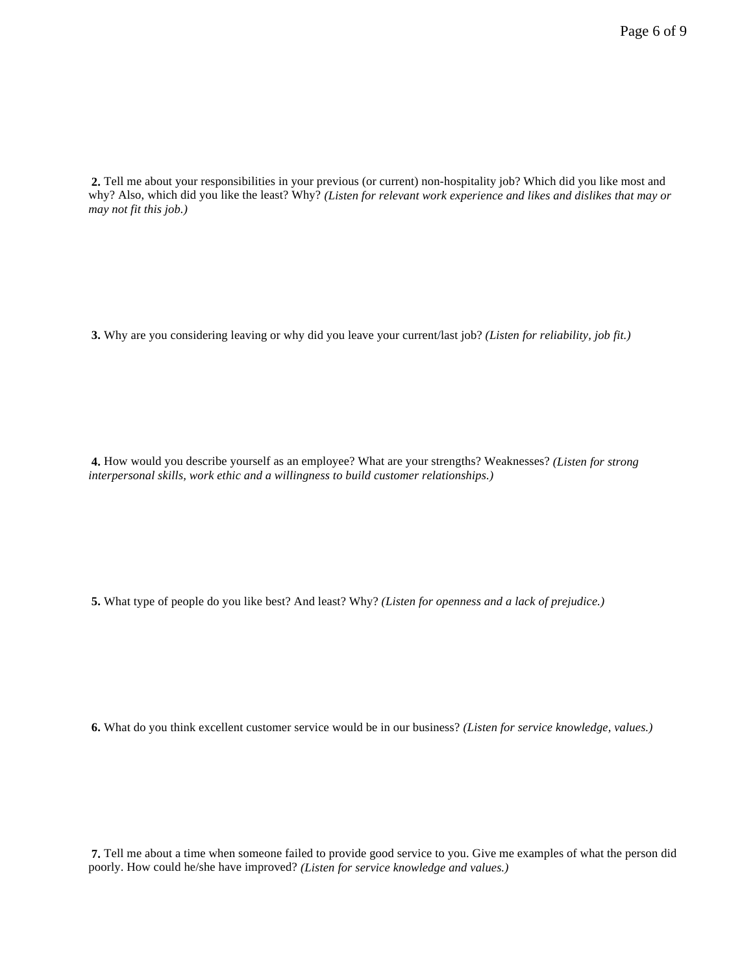**2.** Tell me about your responsibilities in your previous (or current) non-hospitality job? Which did you like most and why? Also, which did you like the least? Why? *(Listen for relevant work experience and likes and dislikes that may or may not fit this job.)*

**3.** Why are you considering leaving or why did you leave your current/last job? *(Listen for reliability, job fit.)*

**4.** How would you describe yourself as an employee? What are your strengths? Weaknesses? *(Listen for strong interpersonal skills, work ethic and a willingness to build customer relationships.)* 

**5.** What type of people do you like best? And least? Why? *(Listen for openness and a lack of prejudice.)* 

**6.** What do you think excellent customer service would be in our business? *(Listen for service knowledge, values.)* 

**7.** Tell me about a time when someone failed to provide good service to you. Give me examples of what the person did poorly. How could he/she have improved? *(Listen for service knowledge and values.)*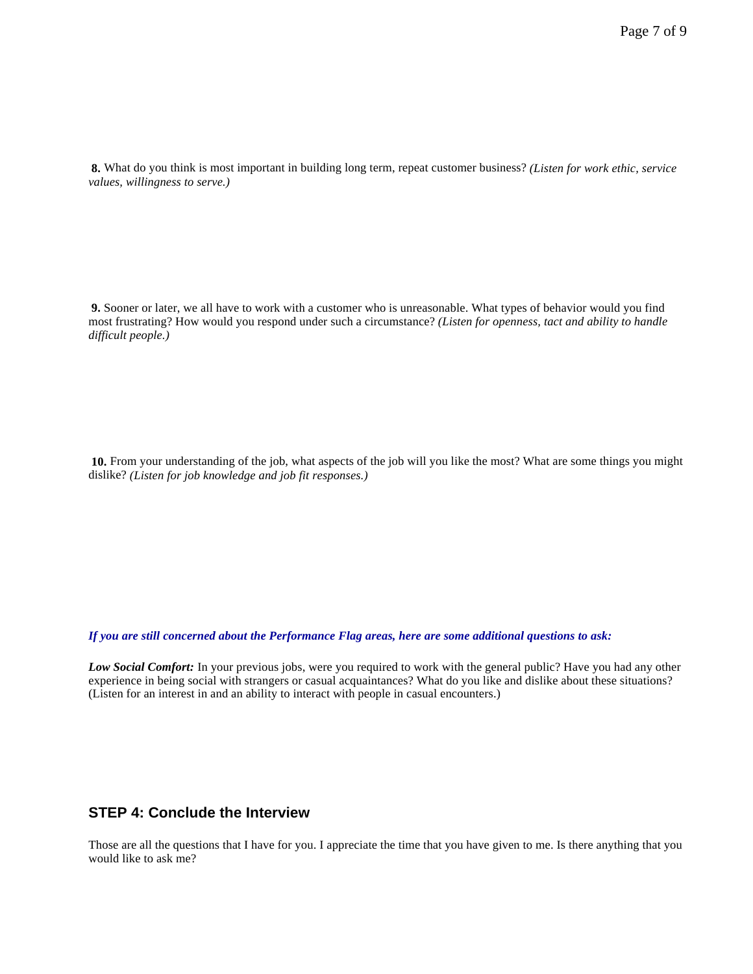**8.** What do you think is most important in building long term, repeat customer business? *(Listen for work ethic, service values, willingness to serve.)* 

**9.** Sooner or later, we all have to work with a customer who is unreasonable. What types of behavior would you find most frustrating? How would you respond under such a circumstance? *(Listen for openness, tact and ability to handle difficult people.)* 

**10.** From your understanding of the job, what aspects of the job will you like the most? What are some things you might dislike? *(Listen for job knowledge and job fit responses.)*

*If you are still concerned about the Performance Flag areas, here are some additional questions to ask:*

*Low Social Comfort:* In your previous jobs, were you required to work with the general public? Have you had any other experience in being social with strangers or casual acquaintances? What do you like and dislike about these situations? (Listen for an interest in and an ability to interact with people in casual encounters.)

### **STEP 4: Conclude the Interview**

Those are all the questions that I have for you. I appreciate the time that you have given to me. Is there anything that you would like to ask me?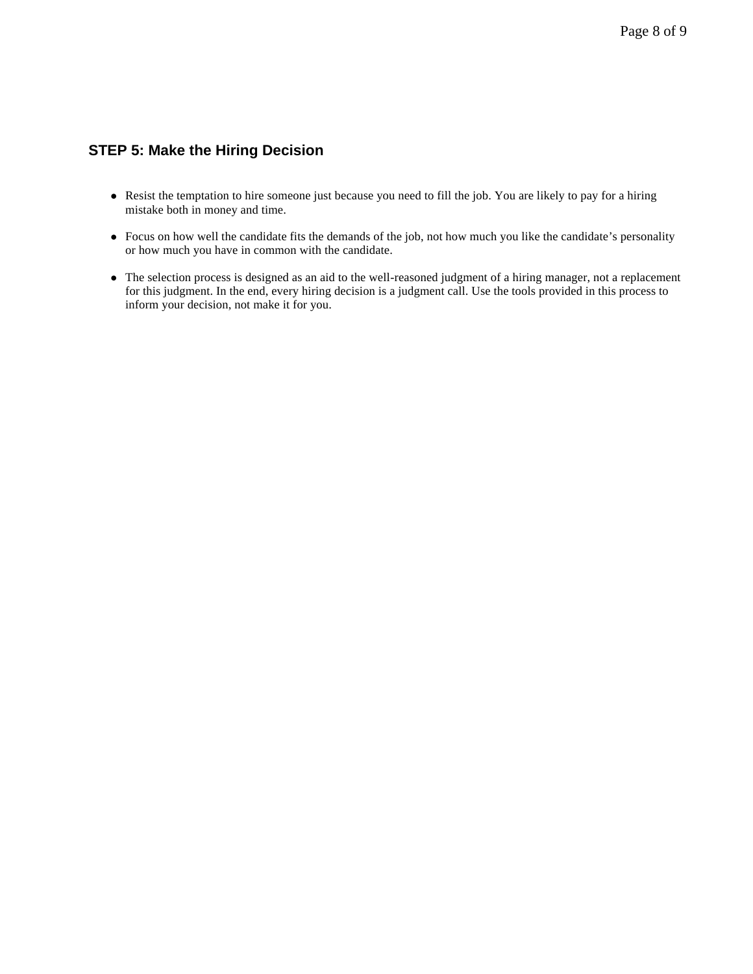### **STEP 5: Make the Hiring Decision**

- Resist the temptation to hire someone just because you need to fill the job. You are likely to pay for a hiring mistake both in money and time.
- Focus on how well the candidate fits the demands of the job, not how much you like the candidate's personality or how much you have in common with the candidate.
- The selection process is designed as an aid to the well-reasoned judgment of a hiring manager, not a replacement for this judgment. In the end, every hiring decision is a judgment call. Use the tools provided in this process to inform your decision, not make it for you.